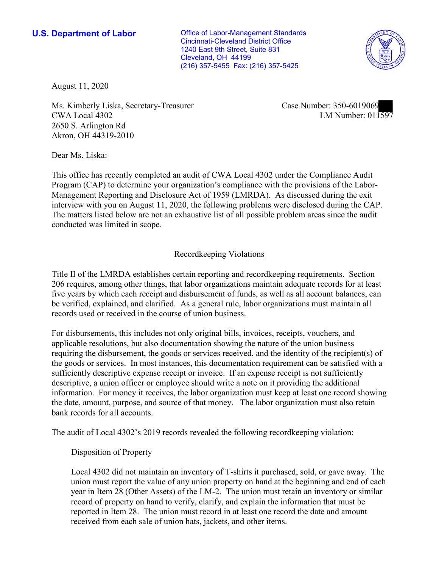Cleveland, OH 44199 **U.S. Department of Labor Conservative Conservative Conservative Conservative Conservative Conservative Conservative Conservative Conservative Conservative Conservative Conservative Conservative Conservative Conservative** Cincinnati-Cleveland District Office 1240 East 9th Street, Suite 831 (216) 357-5455 Fax: (216) 357-5425



August 11, 2020

 2650 S. Arlington Rd ■ CWA Local 4302 LM Number: 011597 Ms. Kimberly Liska, Secretary-Treasurer Case Number: 350-6019069 Akron, OH 44319-2010

Dear Ms. Liska:

 This office has recently completed an audit of CWA Local 4302 under the Compliance Audit The matters listed below are not an exhaustive list of all possible problem areas since the audit Program (CAP) to determine your organization's compliance with the provisions of the Labor-Management Reporting and Disclosure Act of 1959 (LMRDA). As discussed during the exit interview with you on August 11, 2020, the following problems were disclosed during the CAP. conducted was limited in scope.

## Recordkeeping Violations

 Title II of the LMRDA establishes certain reporting and recordkeeping requirements. Section 206 requires, among other things, that labor organizations maintain adequate records for at least five years by which each receipt and disbursement of funds, as well as all account balances, can be verified, explained, and clarified. As a general rule, labor organizations must maintain all records used or received in the course of union business.

For disbursements, this includes not only original bills, invoices, receipts, vouchers, and applicable resolutions, but also documentation showing the nature of the union business requiring the disbursement, the goods or services received, and the identity of the recipient(s) of the goods or services. In most instances, this documentation requirement can be satisfied with a sufficiently descriptive expense receipt or invoice. If an expense receipt is not sufficiently descriptive, a union officer or employee should write a note on it providing the additional information. For money it receives, the labor organization must keep at least one record showing the date, amount, purpose, and source of that money. The labor organization must also retain bank records for all accounts.

The audit of Local 4302's 2019 records revealed the following recordkeeping violation:

## Disposition of Property

 reported in Item 28. The union must record in at least one record the date and amount Local 4302 did not maintain an inventory of T-shirts it purchased, sold, or gave away. The union must report the value of any union property on hand at the beginning and end of each year in Item 28 (Other Assets) of the LM-2. The union must retain an inventory or similar record of property on hand to verify, clarify, and explain the information that must be received from each sale of union hats, jackets, and other items.